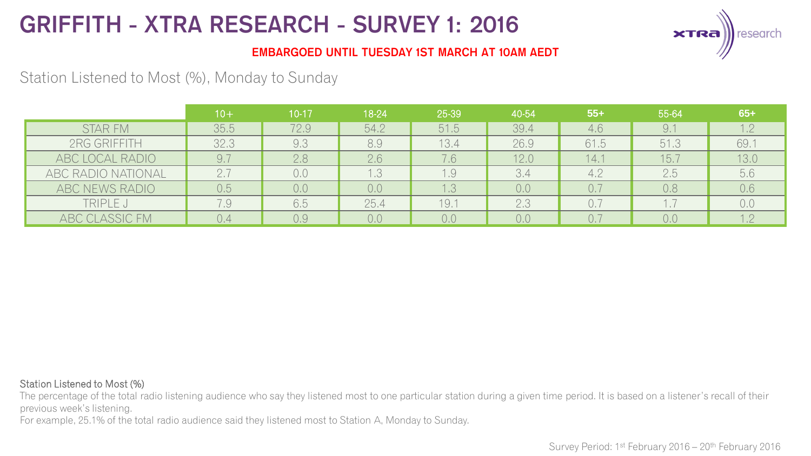

### EMBARGOED UNTIL TUESDAY 1ST MARCH AT 10AM AEDT

Station Listened to Most (%), Monday to Sunday

|                    | $10+$ | $10 - 17$ | 18-24 | 25-39      | 40-54 | $55+$ | 55-64 | $65+$   |
|--------------------|-------|-----------|-------|------------|-------|-------|-------|---------|
| <b>STAR FM</b>     | 35.5  | 72.9      | 54.2  | 51.5       | 39.4  | 4.6   | 9.1   | $1\cap$ |
| 2RG GRIFFITH       | 32.3  | 9.3       | 8.9   | 13.4       | 26.9  | 61.5  | 51.3  | 69.     |
| ABC LOCAL RADIO    |       | 2.8       | 2.6   | 7.6        | 12.0  | 14.1  | 15.7  | 13.0    |
| ABC RADIO NATIONAL |       | 0.0       | 1.3   | $\theta$ . | 3.4   | 4.2   | 2.5   | 5.6     |
| ABC NEWS RADIO     | 0.5   | 0,0       | 0,0   | .3         | 0,0   |       | 0.8   | 0.6     |
| TRIPLE J           | 7.9   | 6.5       | 25.4  | 19.1       | 2.3   | 0.7   | .     | 0,0     |
| ABC CLASSIC FM     |       | 0.9       | 0,0   | 0.0        | 0.0   |       | 0.0   |         |

#### Station Listened to Most (%)

The percentage of the total radio listening audience who say they listened most to one particular station during a given time period. It is based on a listener's recall of their previous week's listening.

For example, 25.1% of the total radio audience said they listened most to Station A, Monday to Sunday.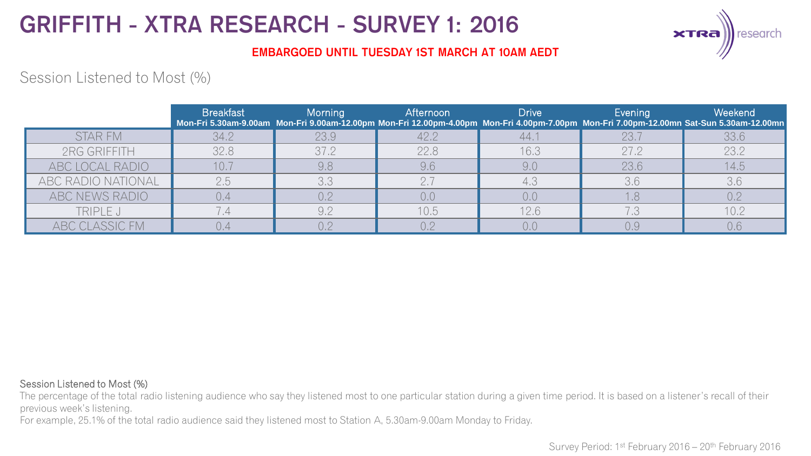

### EMBARGOED UNTIL TUESDAY 1ST MARCH AT 10AM AEDT

## Session Listened to Most (%)

|                    | <b>Breakfast</b> | Morning        | Afternoon | <b>Drive</b> | Evening<br>Mon-Fri 5.30am-9.00am Mon-Fri 9.00am-12.00pm Mon-Fri 12.00pm-4.00pm Mon-Fri 4.00pm-7.00pm Mon-Fri 7.00pm-12.00mn Sat-Sun 5.30am-12.00mn | Weekend |
|--------------------|------------------|----------------|-----------|--------------|----------------------------------------------------------------------------------------------------------------------------------------------------|---------|
| <b>STAR FM</b>     | 34.2             | 23.9           | 42.2      | 44.          | 23.7                                                                                                                                               | 33.6    |
| 2RG GRIFFITH       | 32.8             | 37.2           | 22.8      | 16.3         | 27.2                                                                                                                                               | 23.2    |
| ABC LOCAL RADIO    | 10.7             | 9.8            | 9.6       | 9.0          | 23.6                                                                                                                                               | 14.5    |
| ABC RADIO NATIONAL | 2.5              | 3,3            | 2.7       |              | 3,6                                                                                                                                                | 3.6     |
| ABC NEWS RADIO     | 0.4              | 0.2            | 0,0       | 0,0          |                                                                                                                                                    | 0.2     |
| TRIPLE J           |                  | Q <sub>2</sub> | 10.5      | 12.6         |                                                                                                                                                    | 10.2    |
| ABC CLASSIC FM     |                  |                |           |              | 0.9                                                                                                                                                | 0.6     |

#### Session Listened to Most (%)

The percentage of the total radio listening audience who say they listened most to one particular station during a given time period. It is based on a listener's recall of their previous week's listening.

For example, 25.1% of the total radio audience said they listened most to Station A, 5.30am-9.00am Monday to Friday.

Survey Period: 1st February 2016 – 20th February 2016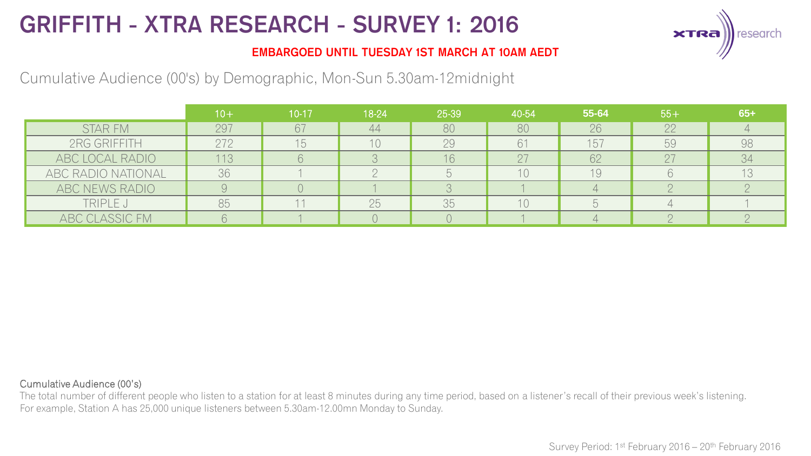

### EMBARGOED UNTIL TUESDAY 1ST MARCH AT 10AM AEDT

Cumulative Audience (00's) by Demographic, Mon-Sun 5.30am-12midnight

|                    | $10 +$ | 10-17 | 18-24 | 25-39 | 40-54 | 55-64 | $55+$ | $65+$ |
|--------------------|--------|-------|-------|-------|-------|-------|-------|-------|
| STAR FM            | 297    | 67    | 44    | 80    | 80    | 26    | 22    |       |
| 2RG GRIFFITH       | 272    |       |       | 29    |       | 157   | 59    | 98    |
| ABC LOCAL RADIO    | 113    |       |       |       |       | 62    |       | 34    |
| ABC RADIO NATIONAL | 36     |       |       |       | 10    | 19    |       |       |
| ABC NEWS RADIO     |        |       |       |       |       |       |       |       |
| TRIPLE J           | 85     |       | 25    | 35    | 10    |       |       |       |
| ABC CLASSIC FM     |        |       |       |       |       |       |       |       |

#### Cumulative Audience (00's)

The total number of different people who listen to a station for at least 8 minutes during any time period, based on a listener's recall of their previous week's listening. For example, Station A has 25,000 unique listeners between 5.30am-12.00mn Monday to Sunday.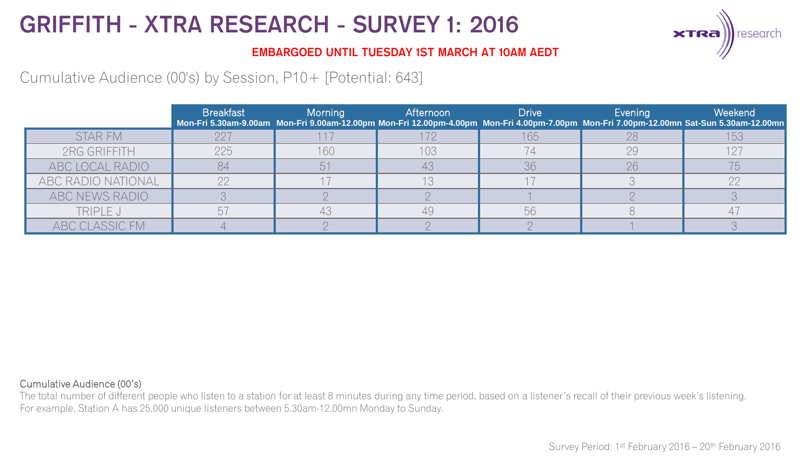

### EMBARGOED UNTIL TUESDAY 1ST MARCH AT 10AM AEDT

Cumulative Audience (00's) by Session, P10+ [Potential: 643]

|                    | <b>Breakfast</b> | Morning | Afternoon | <b>Drive</b> | Evening | Weekend<br>Mon-Fri 5.30am-9.00am Mon-Fri 9.00am-12.00pm Mon-Fri 12.00pm-4.00pm Mon-Fri 4.00pm-7.00pm Mon-Fri 7.00pm-12.00mn Sat-Sun 5.30am-12.00mn |
|--------------------|------------------|---------|-----------|--------------|---------|----------------------------------------------------------------------------------------------------------------------------------------------------|
| <b>STAR FM</b>     | 22.              |         |           | 165          |         |                                                                                                                                                    |
| 2RG GRIFFITH       | 225              | 160     | 103       |              | 29      | 127                                                                                                                                                |
| ABC LOCAL RADIO    | 84               |         |           | 36           | 26      |                                                                                                                                                    |
| ABC RADIO NATIONAL |                  |         |           |              |         | ററ                                                                                                                                                 |
| ABC NEWS RADIO     |                  |         |           |              |         |                                                                                                                                                    |
| TRIPLE J           |                  |         | 49        | 56           |         |                                                                                                                                                    |
| ABC CLASSIC FM     |                  |         |           |              |         |                                                                                                                                                    |

#### Cumulative Audience (00's)

The total number of different people who listen to a station for at least 8 minutes during any time period, based on a listener's recall of their previous week's listening. For example, Station A has 25,000 unique listeners between 5.30am-12.00mn Monday to Sunday.